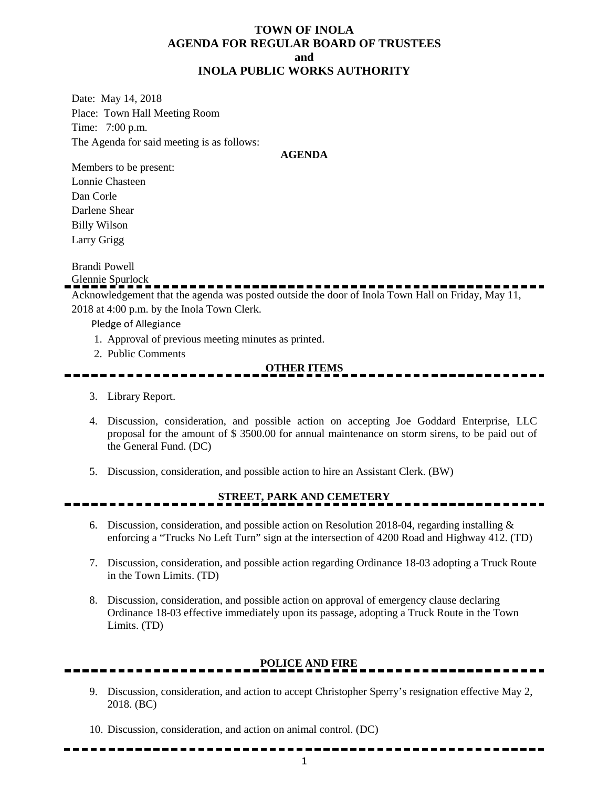#### **TOWN OF INOLA AGENDA FOR REGULAR BOARD OF TRUSTEES and INOLA PUBLIC WORKS AUTHORITY**

Date: May 14, 2018 Place: Town Hall Meeting Room Time: 7:00 p.m. The Agenda for said meeting is as follows:

#### **AGENDA**

Members to be present: Lonnie Chasteen Dan Corle Darlene Shear Billy Wilson Larry Grigg

Brandi Powell

Glennie Spurlock

Acknowledgement that the agenda was posted outside the door of Inola Town Hall on Friday, May 11, 2018 at 4:00 p.m. by the Inola Town Clerk.

Pledge of Allegiance

- 1. Approval of previous meeting minutes as printed.
- 2. Public Comments

#### **OTHER ITEMS**

- 3. Library Report.
- 4. Discussion, consideration, and possible action on accepting Joe Goddard Enterprise, LLC proposal for the amount of \$ 3500.00 for annual maintenance on storm sirens, to be paid out of the General Fund. (DC)
- 5. Discussion, consideration, and possible action to hire an Assistant Clerk. (BW)

# **STREET, PARK AND CEMETERY**

- 6. Discussion, consideration, and possible action on Resolution 2018-04, regarding installing  $\&$ enforcing a "Trucks No Left Turn" sign at the intersection of 4200 Road and Highway 412. (TD)
- 7. Discussion, consideration, and possible action regarding Ordinance 18-03 adopting a Truck Route in the Town Limits. (TD)
- 8. Discussion, consideration, and possible action on approval of emergency clause declaring Ordinance 18-03 effective immediately upon its passage, adopting a Truck Route in the Town Limits. (TD)

### **POLICE AND FIRE**

- 9. Discussion, consideration, and action to accept Christopher Sperry's resignation effective May 2, 2018. (BC)
- 10. Discussion, consideration, and action on animal control. (DC)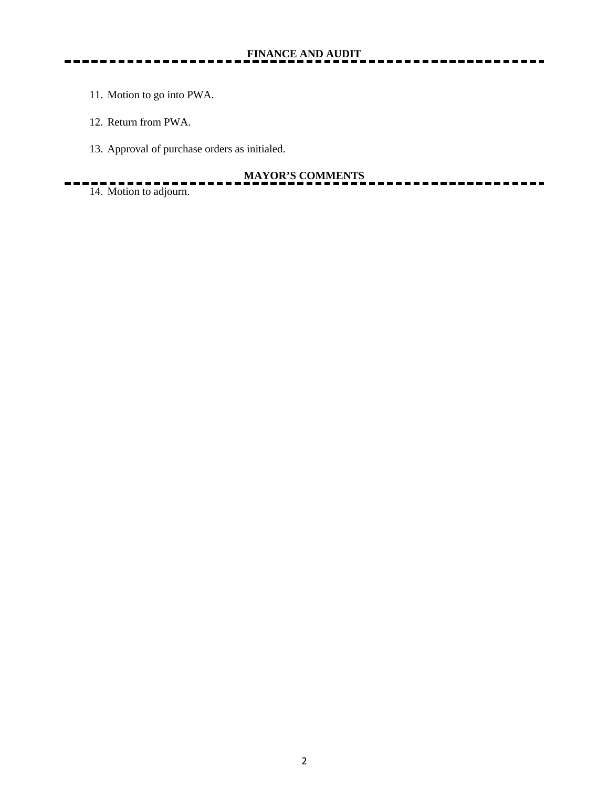- 11. Motion to go into PWA.
- 12. Return from PWA.
- 13. Approval of purchase orders as initialed.

# **MAYOR'S COMMENTS**

. .

 $14.$  Motion to adjourn.